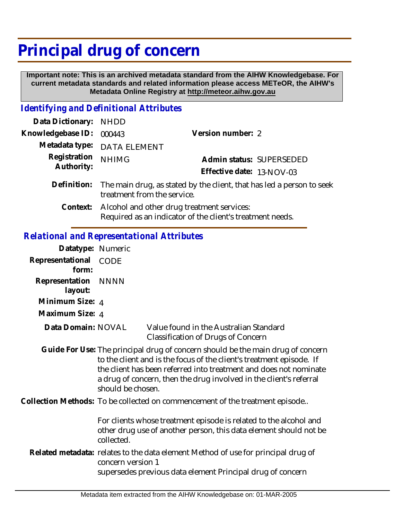## **Principal drug of concern**

 **Important note: This is an archived metadata standard from the AIHW Knowledgebase. For current metadata standards and related information please access METeOR, the AIHW's Metadata Online Registry at http://meteor.aihw.gov.au**

## *Identifying and Definitional Attributes*

| Data Dictionary: NHDD      |                                                                                                                  |                           |                          |
|----------------------------|------------------------------------------------------------------------------------------------------------------|---------------------------|--------------------------|
| Knowledgebase ID:          | 000443                                                                                                           | Version number: 2         |                          |
|                            | Metadata type: DATA ELEMENT                                                                                      |                           |                          |
| Registration<br>Authority: | <b>NHIMG</b>                                                                                                     |                           | Admin status: SUPERSEDED |
|                            |                                                                                                                  | Effective date: 13-NOV-03 |                          |
|                            | Definition: The main drug, as stated by the client, that has led a person to seek<br>treatment from the service. |                           |                          |
| Context:                   | Alcohol and other drug treatment services:<br>Required as an indicator of the client's treatment needs.          |                           |                          |

## *Relational and Representational Attributes*

| Datatype: Numeric         |                                                                                                                                                                                                                                                                                                                         |                                                                                                                                                 |  |
|---------------------------|-------------------------------------------------------------------------------------------------------------------------------------------------------------------------------------------------------------------------------------------------------------------------------------------------------------------------|-------------------------------------------------------------------------------------------------------------------------------------------------|--|
| Representational<br>form: | CODE                                                                                                                                                                                                                                                                                                                    |                                                                                                                                                 |  |
| Representation<br>layout: | <b>NNNN</b>                                                                                                                                                                                                                                                                                                             |                                                                                                                                                 |  |
| Minimum Size: 4           |                                                                                                                                                                                                                                                                                                                         |                                                                                                                                                 |  |
| Maximum Size: 4           |                                                                                                                                                                                                                                                                                                                         |                                                                                                                                                 |  |
| Data Domain: NOVAL        |                                                                                                                                                                                                                                                                                                                         | Value found in the Australian Standard<br><b>Classification of Drugs of Concern</b>                                                             |  |
|                           | Guide For Use: The principal drug of concern should be the main drug of concern<br>to the client and is the focus of the client's treatment episode. If<br>the client has been referred into treatment and does not nominate<br>a drug of concern, then the drug involved in the client's referral<br>should be chosen. |                                                                                                                                                 |  |
|                           |                                                                                                                                                                                                                                                                                                                         | Collection Methods: To be collected on commencement of the treatment episode                                                                    |  |
|                           | For clients whose treatment episode is related to the alcohol and<br>other drug use of another person, this data element should not be<br>collected.                                                                                                                                                                    |                                                                                                                                                 |  |
|                           | concern version 1                                                                                                                                                                                                                                                                                                       | Related metadata: relates to the data element Method of use for principal drug of<br>supersedes previous data element Principal drug of concern |  |
|                           |                                                                                                                                                                                                                                                                                                                         |                                                                                                                                                 |  |